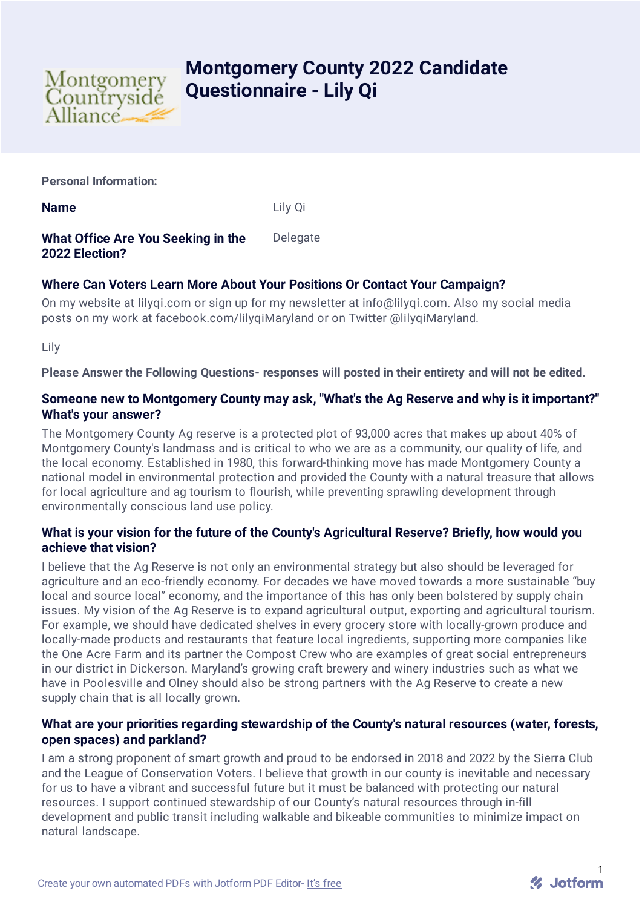

# **Montgomery County 2022 Candidate Questionnaire - Lily Qi**

**Personal Information:**

**Name** Lily Qi

#### **What Office Are You Seeking in the 2022 Election?** Delegate

## **Where Can Voters Learn More About Your Positions Or Contact Your Campaign?**

On my website at lilyqi.com or sign up for my newsletter at info@lilyqi.com. Also my social media posts on my work at facebook.com/lilyqiMaryland or on Twitter @lilyqiMaryland.

Lily

**Please Answer the Following Questions- responses will posted in their entirety and will not be edited.**

#### **Someone new to Montgomery County may ask, "What's the Ag Reserve and why is it important?" What's your answer?**

The Montgomery County Ag reserve is a protected plot of 93,000 acres that makes up about 40% of Montgomery County's landmass and is critical to who we are as a community, our quality of life, and the local economy. Established in 1980, this forward-thinking move has made Montgomery County a national model in environmental protection and provided the County with a natural treasure that allows for local agriculture and ag tourism to flourish, while preventing sprawling development through environmentally conscious land use policy.

### **What is your vision for the future of the County's Agricultural Reserve? Briefly, how would you achieve that vision?**

I believe that the Ag Reserve is not only an environmental strategy but also should be leveraged for agriculture and an eco-friendly economy. For decades we have moved towards a more sustainable "buy local and source local" economy, and the importance of this has only been bolstered by supply chain issues. My vision of the Ag Reserve is to expand agricultural output, exporting and agricultural tourism. For example, we should have dedicated shelves in every grocery store with locally-grown produce and locally-made products and restaurants that feature local ingredients, supporting more companies like the One Acre Farm and its partner the Compost Crew who are examples of great social entrepreneurs in our district in Dickerson. Maryland's growing craft brewery and winery industries such as what we have in Poolesville and Olney should also be strong partners with the Ag Reserve to create a new supply chain that is all locally grown.

#### **What are your priorities regarding stewardship of the County's natural resources (water, forests, open spaces) and parkland?**

I am a strong proponent of smart growth and proud to be endorsed in 2018 and 2022 by the Sierra Club and the League of Conservation Voters. I believe that growth in our county is inevitable and necessary for us to have a vibrant and successful future but it must be balanced with protecting our natural resources. I support continued stewardship of our County's natural resources through in-fill development and public transit including walkable and bikeable communities to minimize impact on natural landscape.

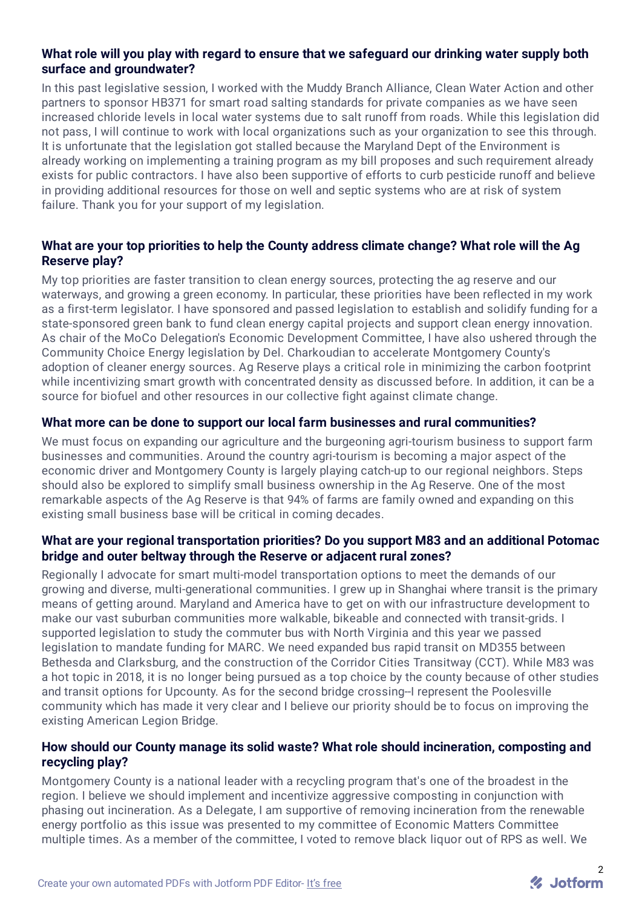#### **What role will you play with regard to ensure that we safeguard our drinking water supply both surface and groundwater?**

In this past legislative session, I worked with the Muddy Branch Alliance, Clean Water Action and other partners to sponsor HB371 for smart road salting standards for private companies as we have seen increased chloride levels in local water systems due to salt runoff from roads. While this legislation did not pass, I will continue to work with local organizations such as your organization to see this through. It is unfortunate that the legislation got stalled because the Maryland Dept of the Environment is already working on implementing a training program as my bill proposes and such requirement already exists for public contractors. I have also been supportive of efforts to curb pesticide runoff and believe in providing additional resources for those on well and septic systems who are at risk of system failure. Thank you for your support of my legislation.

#### **What are your top priorities to help the County address climate change? What role will the Ag Reserve play?**

My top priorities are faster transition to clean energy sources, protecting the ag reserve and our waterways, and growing a green economy. In particular, these priorities have been reflected in my work as a first-term legislator. I have sponsored and passed legislation to establish and solidify funding for a state-sponsored green bank to fund clean energy capital projects and support clean energy innovation. As chair of the MoCo Delegation's Economic Development Committee, I have also ushered through the Community Choice Energy legislation by Del. Charkoudian to accelerate Montgomery County's adoption of cleaner energy sources. Ag Reserve plays a critical role in minimizing the carbon footprint while incentivizing smart growth with concentrated density as discussed before. In addition, it can be a source for biofuel and other resources in our collective fight against climate change.

#### **What more can be done to support our local farm businesses and rural communities?**

We must focus on expanding our agriculture and the burgeoning agri-tourism business to support farm businesses and communities. Around the country agri-tourism is becoming a major aspect of the economic driver and Montgomery County is largely playing catch-up to our regional neighbors. Steps should also be explored to simplify small business ownership in the Ag Reserve. One of the most remarkable aspects of the Ag Reserve is that 94% of farms are family owned and expanding on this existing small business base will be critical in coming decades.

#### **What are your regional transportation priorities? Do you support M83 and an additional Potomac bridge and outer beltway through the Reserve or adjacent rural zones?**

Regionally I advocate for smart multi-model transportation options to meet the demands of our growing and diverse, multi-generational communities. I grew up in Shanghai where transit is the primary means of getting around. Maryland and America have to get on with our infrastructure development to make our vast suburban communities more walkable, bikeable and connected with transit-grids. I supported legislation to study the commuter bus with North Virginia and this year we passed legislation to mandate funding for MARC. We need expanded bus rapid transit on MD355 between Bethesda and Clarksburg, and the construction of the Corridor Cities Transitway (CCT). While M83 was a hot topic in 2018, it is no longer being pursued as a top choice by the county because of other studies and transit options for Upcounty. As for the second bridge crossing--I represent the Poolesville community which has made it very clear and I believe our priority should be to focus on improving the existing American Legion Bridge.

#### **How should our County manage its solid waste? What role should incineration, composting and recycling play?**

Montgomery County is a national leader with a recycling program that's one of the broadest in the region. I believe we should implement and incentivize aggressive composting in conjunction with phasing out incineration. As a Delegate, I am supportive of removing incineration from the renewable energy portfolio as this issue was presented to my committee of Economic Matters Committee multiple times. As a member of the committee, I voted to remove black liquor out of RPS as well. We